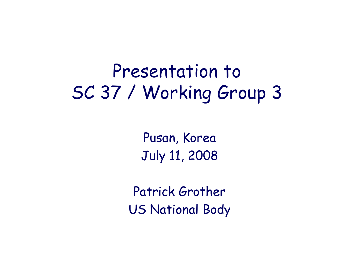## Presentation to SC 37 / Working Group 3

Pusan, Korea July 11, 2008

Patrick Grother US National Body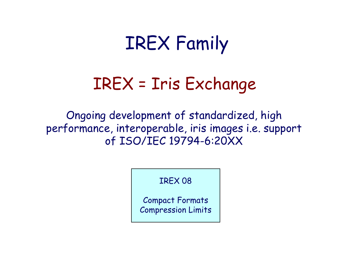## IREX Family

#### IREX = Iris Exchange

Ongoing development of standardized, high performance, interoperable, iris images i.e. support of ISO/IEC 19794-6:20XX

IREX 08

Compact Formats Compression Limits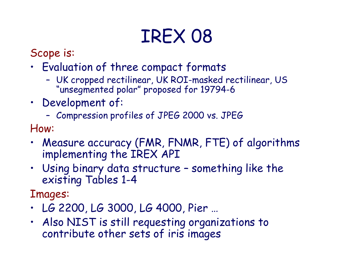# IREX 08

Scope is:

- Evaluation of three compact formats
	- UK cropped rectilinear, UK ROI-masked rectilinear, US "unsegmented polar" proposed for 19794-6
- Development of:
	- Compression profiles of JPEG 2000 vs. JPEG

How:

- Measure accuracy (FMR, FNMR, FTE) of algorithms implementing the IREX API
- Using binary data structure something like the existing Tables 1-4

Images:

- LG 2200, LG 3000, LG 4000, Pier …
- Also NIST is still requesting organizations to contribute other sets of iris images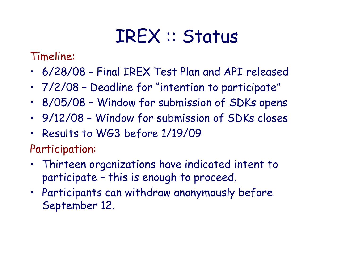### IREX :: Status

Timeline:

- 6/28/08 Final IREX Test Plan and API released
- 7/2/08 Deadline for "intention to participate"
- 8/05/08 Window for submission of SDKs opens
- 9/12/08 Window for submission of SDKs closes
- Results to WG3 before 1/19/09

Participation:

- Thirteen organizations have indicated intent to participate – this is enough to proceed.
- Participants can withdraw anonymously before September 12.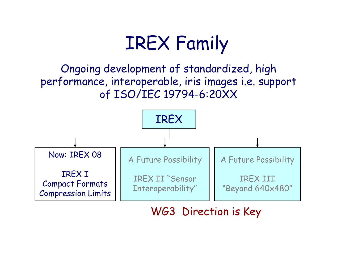## IREX Family

Ongoing development of standardized, high performance, interoperable, iris images i.e. support of ISO/IEC 19794-6:20XX



WG3 Direction is Key